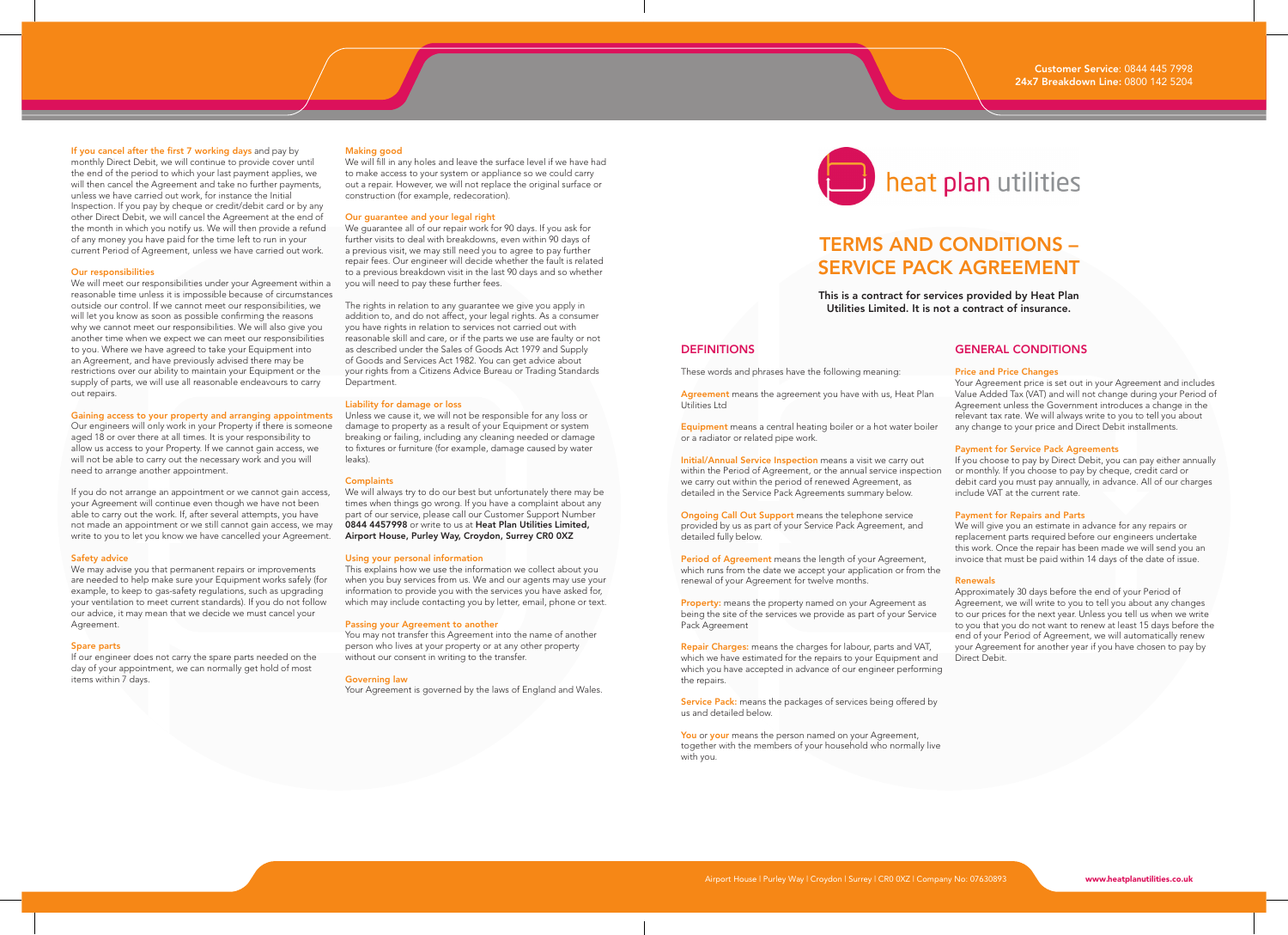# If you cancel after the first 7 working days and pay by

monthly Direct Debit, we will continue to provide cover until the end of the period to which your last payment applies, we will then cancel the Agreement and take no further payments. unless we have carried out work, for instance the Initial Inspection. If you pay by cheque or credit/debit card or by any other Direct Debit, we will cancel the Agreement at the end of the month in which you notify us. We will then provide a refund of any money you have paid for the time left to run in your current Period of Agreement, unless we have carried out work.

# Our responsibilities

We will meet our responsibilities under your Agreement within a reasonable time unless it is impossible because of circumstances outside our control. If we cannot meet our responsibilities, we will let you know as soon as possible confirming the reasons why we cannot meet our responsibilities. We will also give you another time when we expect we can meet our responsibilities to you. Where we have agreed to take your Equipment into an Agreement, and have previously advised there may be restrictions over our ability to maintain your Equipment or the supply of parts, we will use all reasonable endeavours to carry out repairs.

Our engineers will only work in your Property if there is someone aged 18 or over there at all times. It is your responsibility to allow us access to your Property. If we cannot gain access, we will not be able to carry out the necessary work and you will need to arrange another appointment.

If you do not arrange an appointment or we cannot gain access, your Agreement will continue even though we have not been able to carry out the work. If, after several attempts, you have not made an appointment or we still cannot gain access, we may write to you to let you know we have cancelled your Agreement.

# Safety advice

We may advise you that permanent repairs or improvements are needed to help make sure your Equipment works safely (for example, to keep to gas-safety regulations, such as upgrading your ventilation to meet current standards). If you do not follow our advice, it may mean that we decide we must cancel your Agreement.

# Spare parts

If our engineer does not carry the spare parts needed on the day of your appointment, we can normally get hold of most items within 7 days.

# Making good

We will fill in any holes and leave the surface level if we have had to make access to your system or appliance so we could carry out a repair. However, we will not replace the original surface or construction (for example, redecoration).

# Our guarantee and your legal right

We guarantee all of our repair work for 90 days. If you ask for further visits to deal with breakdowns, even within 90 days of a previous visit, we may still need you to agree to pay further repair fees. Our engineer will decide whether the fault is related to a previous breakdown visit in the last 90 days and so whether you will need to pay these further fees.

The rights in relation to any guarantee we give you apply in addition to, and do not affect, your legal rights. As a consumer you have rights in relation to services not carried out with reasonable skill and care, or if the parts we use are faulty or not as described under the Sales of Goods Act 1979 and Supply of Goods and Services Act 1982. You can get advice about your rights from a Citizens Advice Bureau or Trading Standards **Department** 

# Liability for damage or loss

Gaining access to your property and arranging appointments Unless we cause it, we will not be responsible for any loss or damage to property as a result of your Equipment or system breaking or failing, including any cleaning needed or damage to fixtures or furniture (for example, damage caused by water leaks).

# **Complaints**

We will always try to do our best but unfortunately there may be times when things go wrong. If you have a complaint about any part of our service, please call our Customer Support Number 0844 4457998 or write to us at Heat Plan Utilities Limited, Airport House, Purley Way, Croydon, Surrey CR0 0XZ

# Using your personal information

This explains how we use the information we collect about you when you buy services from us. We and our agents may use your information to provide you with the services you have asked for, which may include contacting you by letter, email, phone or text.

# Passing your Agreement to another

You may not transfer this Agreement into the name of another person who lives at your property or at any other property without our consent in writing to the transfer.

### Governing law

Your Agreement is governed by the laws of England and Wales.

# heat plan utilities

# TERMS AND CONDITIONS – SERVICE PACK AGREEMENT

This is a contract for services provided by Heat Plan Utilities Limited. It is not a contract of insurance.

# **DEFINITIONS**

These words and phrases have the following meaning:

Agreement means the agreement you have with us, Heat Plan Utilities Ltd

Equipment means a central heating boiler or a hot water boiler or a radiator or related pipe work.

Initial/Annual Service Inspection means a visit we carry out within the Period of Agreement, or the annual service inspection we carry out within the period of renewed Agreement, as detailed in the Service Pack Agreements summary below.

Ongoing Call Out Support means the telephone service provided by us as part of your Service Pack Agreement, and detailed fully below.

Period of Agreement means the length of your Agreement, which runs from the date we accept your application or from the renewal of your Agreement for twelve months.

Property: means the property named on your Agreement as being the site of the services we provide as part of your Service Pack Agreement

Repair Charges: means the charges for labour, parts and VAT, which we have estimated for the repairs to your Equipment and which you have accepted in advance of our engineer performing the repairs.

Service Pack: means the packages of services being offered by us and detailed below.

You or your means the person named on your Agreement, together with the members of your household who normally live with you.

# GENERAL CONDITIONS

# Price and Price Changes

Your Agreement price is set out in your Agreement and includes Value Added Tax (VAT) and will not change during your Period of Agreement unless the Government introduces a change in the relevant tax rate. We will always write to you to tell you about any change to your price and Direct Debit installments.

# Payment for Service Pack Agreements

If you choose to pay by Direct Debit, you can pay either annually or monthly. If you choose to pay by cheque, credit card or debit card you must pay annually, in advance. All of our charges include VAT at the current rate.

# Payment for Repairs and Parts

We will give you an estimate in advance for any repairs or replacement parts required before our engineers undertake this work. Once the repair has been made we will send you an invoice that must be paid within 14 days of the date of issue.

## Renewals

Approximately 30 days before the end of your Period of Agreement, we will write to you to tell you about any changes to our prices for the next year. Unless you tell us when we write to you that you do not want to renew at least 15 days before the end of your Period of Agreement, we will automatically renew your Agreement for another year if you have chosen to pay by Direct Debit.